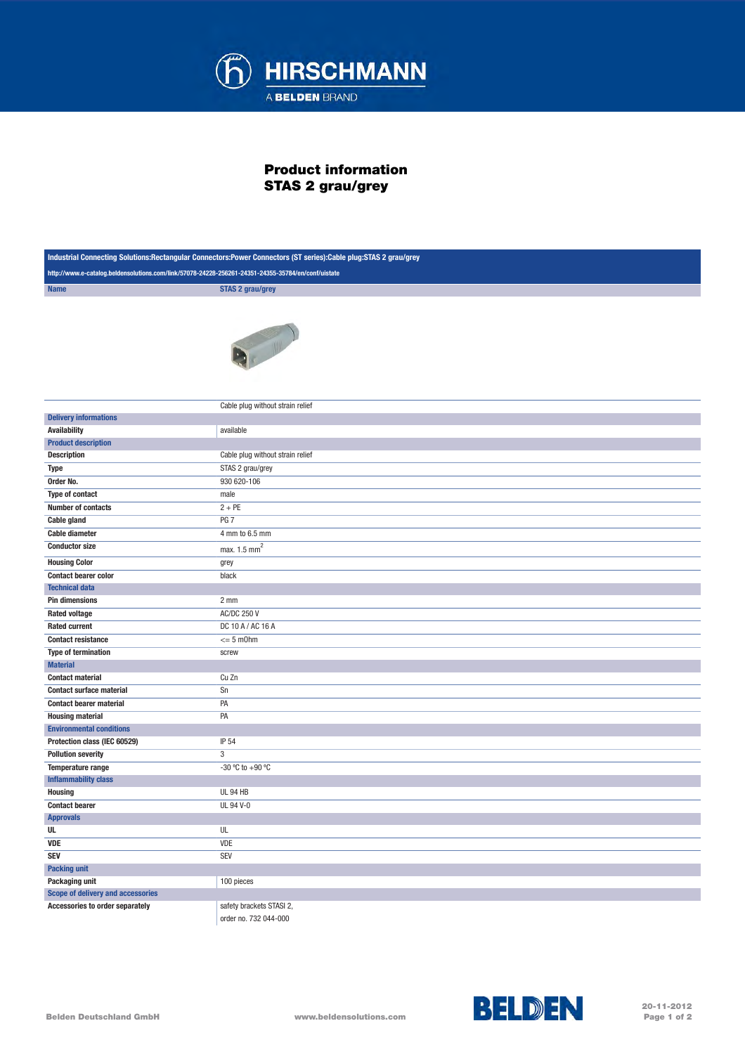

## Product information STAS 2 grau/grey

| Industrial Connecting Solutions:Rectangular Connectors:Power Connectors (ST series):Cable plug:STAS 2 grau/grey |                                  |  |
|-----------------------------------------------------------------------------------------------------------------|----------------------------------|--|
| http://www.e-catalog.beldensolutions.com/link/57078-24228-256261-24351-24355-35784/en/conf/uistate              |                                  |  |
| <b>Name</b>                                                                                                     | <b>STAS 2 grau/grey</b>          |  |
|                                                                                                                 |                                  |  |
|                                                                                                                 | Cable plug without strain relief |  |
| <b>Delivery informations</b>                                                                                    |                                  |  |
| <b>Availability</b>                                                                                             | available                        |  |
| <b>Product description</b>                                                                                      |                                  |  |
| <b>Description</b>                                                                                              | Cable plug without strain relief |  |
| <b>Type</b>                                                                                                     | STAS 2 grau/grey                 |  |
| Order No.                                                                                                       | 930 620-106                      |  |
| Type of contact<br><b>Number of contacts</b>                                                                    | male<br>$2 + PE$                 |  |
| <b>Cable gland</b>                                                                                              | PG <sub>7</sub>                  |  |
| <b>Cable diameter</b>                                                                                           | 4 mm to 6.5 mm                   |  |
| <b>Conductor size</b>                                                                                           |                                  |  |
|                                                                                                                 | max. 1.5 mm <sup>2</sup>         |  |
| <b>Housing Color</b>                                                                                            | grey                             |  |
| <b>Contact bearer color</b>                                                                                     | black                            |  |
| <b>Technical data</b><br><b>Pin dimensions</b>                                                                  | 2 <sub>mm</sub>                  |  |
| <b>Rated voltage</b>                                                                                            | <b>AC/DC 250 V</b>               |  |
| <b>Rated current</b>                                                                                            | DC 10 A / AC 16 A                |  |
| <b>Contact resistance</b>                                                                                       | $= 5$ m $0$ hm                   |  |
| <b>Type of termination</b>                                                                                      | screw                            |  |
| <b>Material</b>                                                                                                 |                                  |  |
| <b>Contact material</b>                                                                                         | Cu Zn                            |  |
| <b>Contact surface material</b>                                                                                 | Sn                               |  |
| <b>Contact bearer material</b>                                                                                  | PA                               |  |
| <b>Housing material</b>                                                                                         | PA                               |  |
| <b>Environmental conditions</b>                                                                                 |                                  |  |
| Protection class (IEC 60529)                                                                                    | IP 54                            |  |
| <b>Pollution severity</b>                                                                                       | $\mathbf{3}$                     |  |
| Temperature range                                                                                               | -30 °C to +90 °C                 |  |
| <b>Inflammability class</b>                                                                                     |                                  |  |
| <b>Housing</b>                                                                                                  | <b>UL 94 HB</b>                  |  |
| <b>Contact bearer</b>                                                                                           | UL 94 V-0                        |  |
| <b>Approvals</b>                                                                                                |                                  |  |
| UL                                                                                                              | UL                               |  |
| <b>VDE</b>                                                                                                      | <b>VDE</b>                       |  |
| <b>SEV</b>                                                                                                      | <b>SEV</b>                       |  |
| <b>Packing unit</b>                                                                                             |                                  |  |
| Packaging unit<br>Scope of delivery and accessories                                                             | 100 pieces                       |  |
| Accessories to order separately                                                                                 | safety brackets STASI 2,         |  |
|                                                                                                                 |                                  |  |

order no. 732 044-000